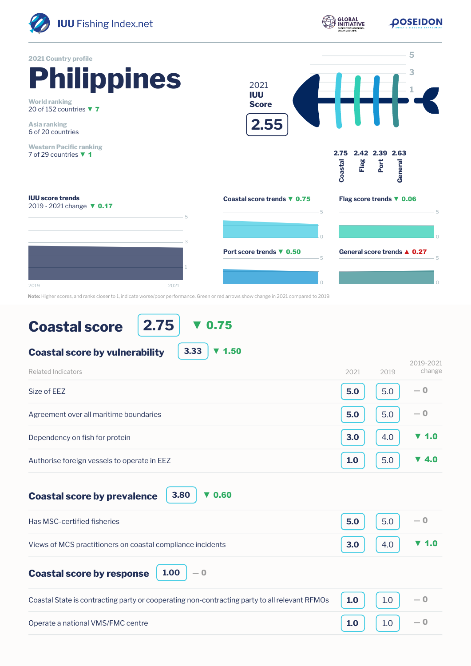

**POSEIDON** 



**Note:** Higher scores, and ranks closer to 1, indicate worse/poor performance. Green or red arrows show change in 2021 compared to 2019.

## **Coastal score**

**2.75** ▼ 0.75

| 3.33<br>71.50<br><b>Coastal score by vulnerability</b> |      |      |                          |
|--------------------------------------------------------|------|------|--------------------------|
| Related Indicators                                     | 2021 | 2019 | 2019-2021<br>change      |
| Size of EEZ                                            | 5.0  | 5.0  | $-0$                     |
| Agreement over all maritime boundaries                 | 5.0  | 5.0  | $-0$                     |
| Dependency on fish for protein                         | 3.0  | 4.0  | 71.0                     |
| Authorise foreign vessels to operate in EEZ            | 1.0  | 5.0  | $\blacktriangledown$ 4.0 |

**Coastal score by prevalence**

**3.80** ▼ 0.60

| Has MSC-certified fisheries                                               | $5.0$   5.0   $-0$            |  |
|---------------------------------------------------------------------------|-------------------------------|--|
| Views of MCS practitioners on coastal compliance incidents                | 3.0 $4.0$ $\triangledown$ 1.0 |  |
| <b>Coastal score by response</b> $\begin{bmatrix} 1.00 \end{bmatrix} - 0$ |                               |  |

| Coastal State is contracting party or cooperating non-contracting party to all relevant RFMOs $\vert$ 1.0 $\vert$ 1.0 $\vert$ |                                                                              |  |
|-------------------------------------------------------------------------------------------------------------------------------|------------------------------------------------------------------------------|--|
| Operate a national VMS/FMC centre                                                                                             | $\begin{bmatrix} 1.0 \end{bmatrix}$ $\begin{bmatrix} 1.0 \end{bmatrix}$ $-0$ |  |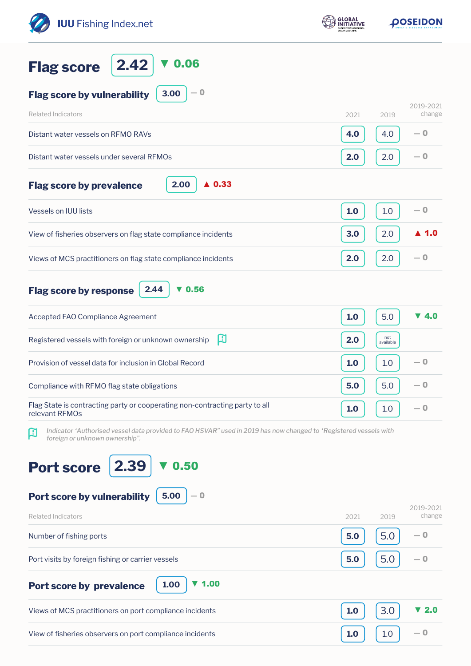| <b>IUU</b> Fishing Index.net                                                                                                                             | <b>GLOBAL</b><br><b>NITIATIVE</b> |                  | <b>DOSEIDON</b>          |  |
|----------------------------------------------------------------------------------------------------------------------------------------------------------|-----------------------------------|------------------|--------------------------|--|
| 2.42<br>0.06<br><b>Flag score</b>                                                                                                                        |                                   |                  |                          |  |
| $-0$<br>3.00<br><b>Flag score by vulnerability</b>                                                                                                       |                                   |                  |                          |  |
| <b>Related Indicators</b>                                                                                                                                | 2021                              | 2019             | 2019-2021<br>change      |  |
| Distant water vessels on RFMO RAVs                                                                                                                       | 4.0                               | 4.0              | — 0                      |  |
| Distant water vessels under several RFMOs                                                                                                                | 2.0                               | 2.0              | $-0$                     |  |
| 2.00<br>$\triangle$ 0.33<br><b>Flag score by prevalence</b>                                                                                              |                                   |                  |                          |  |
| <b>Vessels on IUU lists</b>                                                                                                                              | 1.0                               | 1.0              | $-0$                     |  |
| View of fisheries observers on flag state compliance incidents                                                                                           | 3.0                               | 2.0              | ▲ 1.0                    |  |
| Views of MCS practitioners on flag state compliance incidents                                                                                            | 2.0                               | 2.0              | $-0$                     |  |
| 2.44<br>0.56<br><b>Flag score by response</b><br>v                                                                                                       |                                   |                  |                          |  |
| Accepted FAO Compliance Agreement                                                                                                                        | 1.0                               | 5.0              | $\blacktriangledown$ 4.0 |  |
| 口<br>Registered vessels with foreign or unknown ownership                                                                                                | 2.0                               | not<br>available |                          |  |
| Provision of vessel data for inclusion in Global Record                                                                                                  | 1.0                               | 1.0              | — 0                      |  |
| Compliance with RFMO flag state obligations                                                                                                              | 5.0                               | 5.0              | — 0                      |  |
| Flag State is contracting party or cooperating non-contracting party to all<br>relevant RFMOs                                                            | 1.0                               | 1.0              | — 0                      |  |
| Indicator 'Authorised vessel data provided to FAO HSVAR" used in 2019 has now changed to 'Registered vessels with<br>口<br>foreign or unknown ownership". |                                   |                  |                          |  |
| 2.39<br>0.50<br><b>Port score</b>                                                                                                                        |                                   |                  |                          |  |
| 5.00<br>Port score by vulnerability<br>$-0$                                                                                                              |                                   |                  | 2019-2021                |  |
| <b>Related Indicators</b><br>Number of fishing ports                                                                                                     | 2021<br>5.0                       | 2019<br>5.0      | change<br>— 0            |  |
| Port visits by foreign fishing or carrier vessels                                                                                                        | 5.0                               | 5.0              | — 0                      |  |
|                                                                                                                                                          |                                   |                  |                          |  |
| $\blacktriangledown$ 1.00<br>1.00<br>Port score by prevalence                                                                                            |                                   |                  |                          |  |
| Views of MCS practitioners on port compliance incidents                                                                                                  | 1.0                               | 3.0              | 2.0                      |  |
| View of fisheries observers on port compliance incidents                                                                                                 | 1.0                               | 1.0              | — 0                      |  |